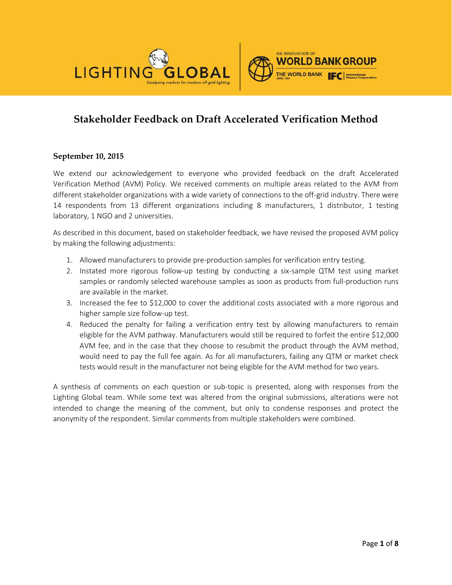



# **Stakeholder Feedback on Draft Accelerated Verification Method**

#### **September 10, 2015**

We extend our acknowledgement to everyone who provided feedback on the draft Accelerated Verification Method (AVM) Policy. We received comments on multiple areas related to the AVM from different stakeholder organizations with a wide variety of connections to the off-grid industry. There were 14 respondents from 13 different organizations including 8 manufacturers, 1 distributor, 1 testing laboratory, 1 NGO and 2 universities.

As described in this document, based on stakeholder feedback, we have revised the proposed AVM policy by making the following adjustments:

- 1. Allowed manufacturers to provide pre-production samples for verification entry testing.
- 2. Instated more rigorous follow-up testing by conducting a six-sample QTM test using market samples or randomly selected warehouse samples as soon as products from full-production runs are available in the market.
- 3. Increased the fee to \$12,000 to cover the additional costs associated with a more rigorous and higher sample size follow-up test.
- 4. Reduced the penalty for failing a verification entry test by allowing manufacturers to remain eligible for the AVM pathway. Manufacturers would still be required to forfeit the entire \$12,000 AVM fee, and in the case that they choose to resubmit the product through the AVM method, would need to pay the full fee again. As for all manufacturers, failing any QTM or market check tests would result in the manufacturer not being eligible for the AVM method for two years.

A synthesis of comments on each question or sub-topic is presented, along with responses from the Lighting Global team. While some text was altered from the original submissions, alterations were not intended to change the meaning of the comment, but only to condense responses and protect the anonymity of the respondent. Similar comments from multiple stakeholders were combined.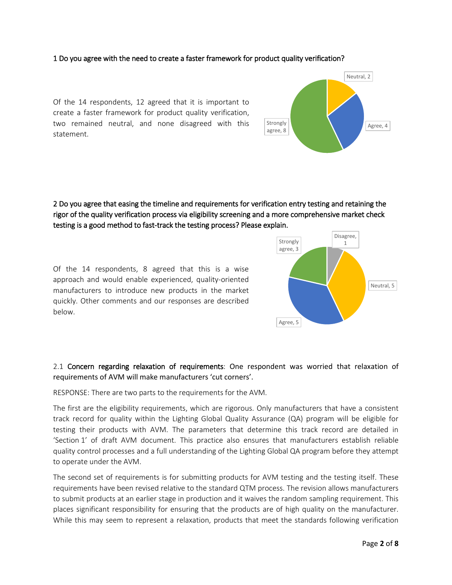#### 1 Do you agree with the need to create a faster framework for product quality verification?

Of the 14 respondents, 12 agreed that it is important to create a faster framework for product quality verification, two remained neutral, and none disagreed with this statement.

## 2 Do you agree that easing the timeline and requirements for verification entry testing and retaining the rigor of the quality verification process via eligibility screening and a more comprehensive market check testing is a good method to fast-track the testing process? Please explain.

Of the 14 respondents, 8 agreed that this is a wise approach and would enable experienced, quality-oriented manufacturers to introduce new products in the market quickly. Other comments and our responses are described below.

## 2.1 Concern regarding relaxation of requirements: One respondent was worried that relaxation of requirements of AVM will make manufacturers 'cut corners'.

RESPONSE: There are two parts to the requirements for the AVM.

The first are the eligibility requirements, which are rigorous. Only manufacturers that have a consistent track record for quality within the Lighting Global Quality Assurance (QA) program will be eligible for testing their products with AVM. The parameters that determine this track record are detailed in 'Section 1' of draft AVM document. This practice also ensures that manufacturers establish reliable quality control processes and a full understanding of the Lighting Global QA program before they attempt to operate under the AVM.

The second set of requirements is for submitting products for AVM testing and the testing itself. These requirements have been revised relative to the standard QTM process. The revision allows manufacturers to submit products at an earlier stage in production and it waives the random sampling requirement. This places significant responsibility for ensuring that the products are of high quality on the manufacturer. While this may seem to represent a relaxation, products that meet the standards following verification



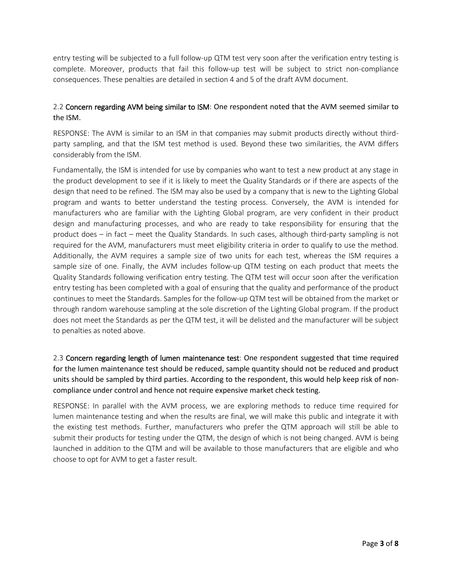entry testing will be subjected to a full follow-up QTM test very soon after the verification entry testing is complete. Moreover, products that fail this follow-up test will be subject to strict non-compliance consequences. These penalties are detailed in section 4 and 5 of the draft AVM document.

## 2.2 Concern regarding AVM being similar to ISM: One respondent noted that the AVM seemed similar to the ISM.

RESPONSE: The AVM is similar to an ISM in that companies may submit products directly without thirdparty sampling, and that the ISM test method is used. Beyond these two similarities, the AVM differs considerably from the ISM.

Fundamentally, the ISM is intended for use by companies who want to test a new product at any stage in the product development to see if it is likely to meet the Quality Standards or if there are aspects of the design that need to be refined. The ISM may also be used by a company that is new to the Lighting Global program and wants to better understand the testing process. Conversely, the AVM is intended for manufacturers who are familiar with the Lighting Global program, are very confident in their product design and manufacturing processes, and who are ready to take responsibility for ensuring that the product does – in fact – meet the Quality Standards. In such cases, although third-party sampling is not required for the AVM, manufacturers must meet eligibility criteria in order to qualify to use the method. Additionally, the AVM requires a sample size of two units for each test, whereas the ISM requires a sample size of one. Finally, the AVM includes follow-up QTM testing on each product that meets the Quality Standards following verification entry testing. The QTM test will occur soon after the verification entry testing has been completed with a goal of ensuring that the quality and performance of the product continues to meet the Standards. Samples for the follow-up QTM test will be obtained from the market or through random warehouse sampling at the sole discretion of the Lighting Global program. If the product does not meet the Standards as per the QTM test, it will be delisted and the manufacturer will be subject to penalties as noted above.

2.3 Concern regarding length of lumen maintenance test: One respondent suggested that time required for the lumen maintenance test should be reduced, sample quantity should not be reduced and product units should be sampled by third parties. According to the respondent, this would help keep risk of noncompliance under control and hence not require expensive market check testing.

RESPONSE: In parallel with the AVM process, we are exploring methods to reduce time required for lumen maintenance testing and when the results are final, we will make this public and integrate it with the existing test methods. Further, manufacturers who prefer the QTM approach will still be able to submit their products for testing under the QTM, the design of which is not being changed. AVM is being launched in addition to the QTM and will be available to those manufacturers that are eligible and who choose to opt for AVM to get a faster result.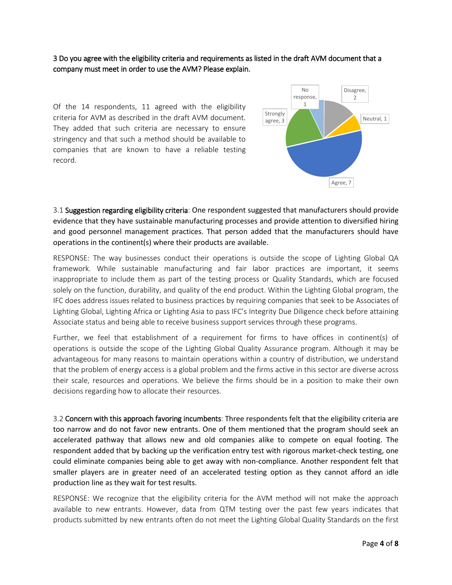3 Do you agree with the eligibility criteria and requirements as listed in the draft AVM document that a company must meet in order to use the AVM? Please explain.

Of the 14 respondents, 11 agreed with the eligibility criteria for AVM as described in the draft AVM document. They added that such criteria are necessary to ensure stringency and that such a method should be available to companies that are known to have a reliable testing record.



3.1 Suggestion regarding eligibility criteria: One respondent suggested that manufacturers should provide evidence that they have sustainable manufacturing processes and provide attention to diversified hiring and good personnel management practices. That person added that the manufacturers should have operations in the continent(s) where their products are available.

RESPONSE: The way businesses conduct their operations is outside the scope of Lighting Global QA framework. While sustainable manufacturing and fair labor practices are important, it seems inappropriate to include them as part of the testing process or Quality Standards, which are focused solely on the function, durability, and quality of the end product. Within the Lighting Global program, the IFC does address issues related to business practices by requiring companies that seek to be Associates of Lighting Global, Lighting Africa or Lighting Asia to pass IFC's Integrity Due Diligence check before attaining Associate status and being able to receive business support services through these programs.

Further, we feel that establishment of a requirement for firms to have offices in continent(s) of operations is outside the scope of the Lighting Global Quality Assurance program. Although it may be advantageous for many reasons to maintain operations within a country of distribution, we understand that the problem of energy access is a global problem and the firms active in this sector are diverse across their scale, resources and operations. We believe the firms should be in a position to make their own decisions regarding how to allocate their resources.

3.2 Concern with this approach favoring incumbents: Three respondents felt that the eligibility criteria are too narrow and do not favor new entrants. One of them mentioned that the program should seek an accelerated pathway that allows new and old companies alike to compete on equal footing. The respondent added that by backing up the verification entry test with rigorous market-check testing, one could eliminate companies being able to get away with non-compliance. Another respondent felt that smaller players are in greater need of an accelerated testing option as they cannot afford an idle production line as they wait for test results.

RESPONSE: We recognize that the eligibility criteria for the AVM method will not make the approach available to new entrants. However, data from QTM testing over the past few years indicates that products submitted by new entrants often do not meet the Lighting Global Quality Standards on the first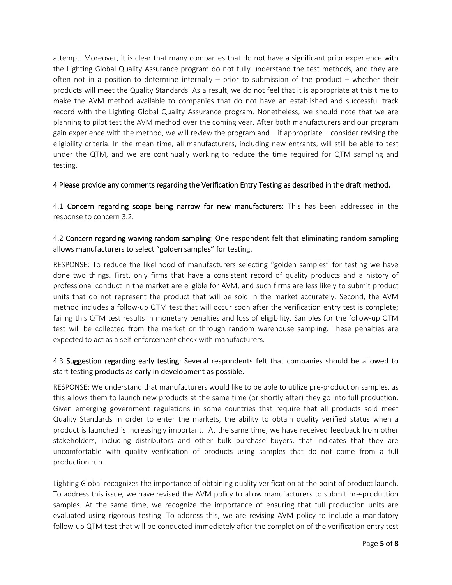attempt. Moreover, it is clear that many companies that do not have a significant prior experience with the Lighting Global Quality Assurance program do not fully understand the test methods, and they are often not in a position to determine internally – prior to submission of the product – whether their products will meet the Quality Standards. As a result, we do not feel that it is appropriate at this time to make the AVM method available to companies that do not have an established and successful track record with the Lighting Global Quality Assurance program. Nonetheless, we should note that we are planning to pilot test the AVM method over the coming year. After both manufacturers and our program gain experience with the method, we will review the program and – if appropriate – consider revising the eligibility criteria. In the mean time, all manufacturers, including new entrants, will still be able to test under the QTM, and we are continually working to reduce the time required for QTM sampling and testing.

#### 4 Please provide any comments regarding the Verification Entry Testing as described in the draft method.

4.1 Concern regarding scope being narrow for new manufacturers: This has been addressed in the response to concern 3.2.

## 4.2 Concern regarding waiving random sampling: One respondent felt that eliminating random sampling allows manufacturers to select "golden samples" for testing.

RESPONSE: To reduce the likelihood of manufacturers selecting "golden samples" for testing we have done two things. First, only firms that have a consistent record of quality products and a history of professional conduct in the market are eligible for AVM, and such firms are less likely to submit product units that do not represent the product that will be sold in the market accurately. Second, the AVM method includes a follow-up QTM test that will occur soon after the verification entry test is complete; failing this QTM test results in monetary penalties and loss of eligibility. Samples for the follow-up QTM test will be collected from the market or through random warehouse sampling. These penalties are expected to act as a self-enforcement check with manufacturers.

## 4.3 Suggestion regarding early testing: Several respondents felt that companies should be allowed to start testing products as early in development as possible.

RESPONSE: We understand that manufacturers would like to be able to utilize pre-production samples, as this allows them to launch new products at the same time (or shortly after) they go into full production. Given emerging government regulations in some countries that require that all products sold meet Quality Standards in order to enter the markets, the ability to obtain quality verified status when a product is launched is increasingly important. At the same time, we have received feedback from other stakeholders, including distributors and other bulk purchase buyers, that indicates that they are uncomfortable with quality verification of products using samples that do not come from a full production run.

Lighting Global recognizes the importance of obtaining quality verification at the point of product launch. To address this issue, we have revised the AVM policy to allow manufacturers to submit pre-production samples. At the same time, we recognize the importance of ensuring that full production units are evaluated using rigorous testing. To address this, we are revising AVM policy to include a mandatory follow-up QTM test that will be conducted immediately after the completion of the verification entry test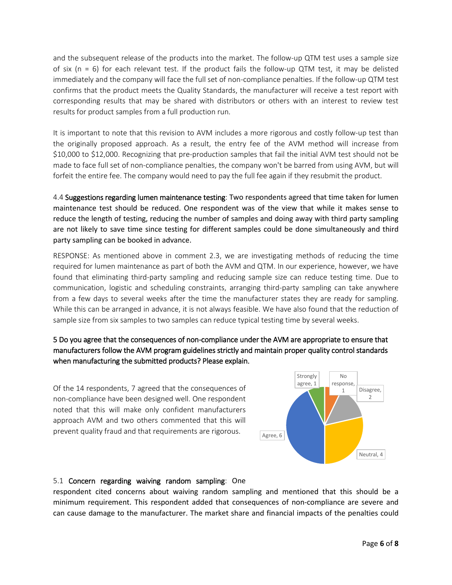and the subsequent release of the products into the market. The follow-up QTM test uses a sample size of six ( $n = 6$ ) for each relevant test. If the product fails the follow-up QTM test, it may be delisted immediately and the company will face the full set of non-compliance penalties. If the follow-up QTM test confirms that the product meets the Quality Standards, the manufacturer will receive a test report with corresponding results that may be shared with distributors or others with an interest to review test results for product samples from a full production run.

It is important to note that this revision to AVM includes a more rigorous and costly follow-up test than the originally proposed approach. As a result, the entry fee of the AVM method will increase from \$10,000 to \$12,000. Recognizing that pre-production samples that fail the initial AVM test should not be made to face full set of non-compliance penalties, the company won't be barred from using AVM, but will forfeit the entire fee. The company would need to pay the full fee again if they resubmit the product.

4.4 Suggestions regarding lumen maintenance testing: Two respondents agreed that time taken for lumen maintenance test should be reduced. One respondent was of the view that while it makes sense to reduce the length of testing, reducing the number of samples and doing away with third party sampling are not likely to save time since testing for different samples could be done simultaneously and third party sampling can be booked in advance.

RESPONSE: As mentioned above in comment 2.3, we are investigating methods of reducing the time required for lumen maintenance as part of both the AVM and QTM. In our experience, however, we have found that eliminating third-party sampling and reducing sample size can reduce testing time. Due to communication, logistic and scheduling constraints, arranging third-party sampling can take anywhere from a few days to several weeks after the time the manufacturer states they are ready for sampling. While this can be arranged in advance, it is not always feasible. We have also found that the reduction of sample size from six samples to two samples can reduce typical testing time by several weeks.

## 5 Do you agree that the consequences of non-compliance under the AVM are appropriate to ensure that manufacturers follow the AVM program guidelines strictly and maintain proper quality control standards when manufacturing the submitted products? Please explain.

Of the 14 respondents, 7 agreed that the consequences of non-compliance have been designed well. One respondent noted that this will make only confident manufacturers approach AVM and two others commented that this will prevent quality fraud and that requirements are rigorous.



## 5.1 Concern regarding waiving random sampling: One

respondent cited concerns about waiving random sampling and mentioned that this should be a minimum requirement. This respondent added that consequences of non-compliance are severe and can cause damage to the manufacturer. The market share and financial impacts of the penalties could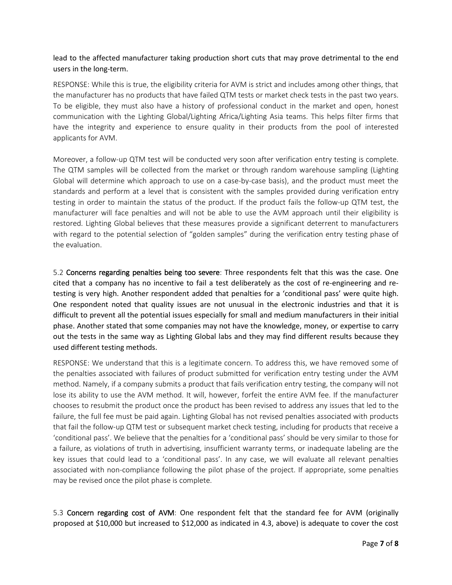lead to the affected manufacturer taking production short cuts that may prove detrimental to the end users in the long-term.

RESPONSE: While this is true, the eligibility criteria for AVM is strict and includes among other things, that the manufacturer has no products that have failed QTM tests or market check tests in the past two years. To be eligible, they must also have a history of professional conduct in the market and open, honest communication with the Lighting Global/Lighting Africa/Lighting Asia teams. This helps filter firms that have the integrity and experience to ensure quality in their products from the pool of interested applicants for AVM.

Moreover, a follow-up QTM test will be conducted very soon after verification entry testing is complete. The QTM samples will be collected from the market or through random warehouse sampling (Lighting Global will determine which approach to use on a case-by-case basis), and the product must meet the standards and perform at a level that is consistent with the samples provided during verification entry testing in order to maintain the status of the product. If the product fails the follow-up QTM test, the manufacturer will face penalties and will not be able to use the AVM approach until their eligibility is restored. Lighting Global believes that these measures provide a significant deterrent to manufacturers with regard to the potential selection of "golden samples" during the verification entry testing phase of the evaluation.

5.2 Concerns regarding penalties being too severe: Three respondents felt that this was the case. One cited that a company has no incentive to fail a test deliberately as the cost of re-engineering and retesting is very high. Another respondent added that penalties for a 'conditional pass' were quite high. One respondent noted that quality issues are not unusual in the electronic industries and that it is difficult to prevent all the potential issues especially for small and medium manufacturers in their initial phase. Another stated that some companies may not have the knowledge, money, or expertise to carry out the tests in the same way as Lighting Global labs and they may find different results because they used different testing methods.

RESPONSE: We understand that this is a legitimate concern. To address this, we have removed some of the penalties associated with failures of product submitted for verification entry testing under the AVM method. Namely, if a company submits a product that fails verification entry testing, the company will not lose its ability to use the AVM method. It will, however, forfeit the entire AVM fee. If the manufacturer chooses to resubmit the product once the product has been revised to address any issues that led to the failure, the full fee must be paid again. Lighting Global has not revised penalties associated with products that fail the follow-up QTM test or subsequent market check testing, including for products that receive a 'conditional pass'. We believe that the penalties for a 'conditional pass' should be very similar to those for a failure, as violations of truth in advertising, insufficient warranty terms, or inadequate labeling are the key issues that could lead to a 'conditional pass'. In any case, we will evaluate all relevant penalties associated with non-compliance following the pilot phase of the project. If appropriate, some penalties may be revised once the pilot phase is complete.

5.3 Concern regarding cost of AVM: One respondent felt that the standard fee for AVM (originally proposed at \$10,000 but increased to \$12,000 as indicated in 4.3, above) is adequate to cover the cost